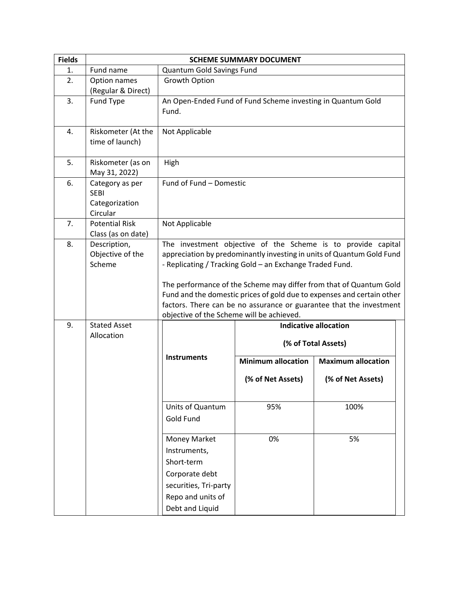| <b>Fields</b> | <b>SCHEME SUMMARY DOCUMENT</b>                               |                                                                                                                               |                                                             |                                                                                                                                                                                                                                                                                                                                                              |
|---------------|--------------------------------------------------------------|-------------------------------------------------------------------------------------------------------------------------------|-------------------------------------------------------------|--------------------------------------------------------------------------------------------------------------------------------------------------------------------------------------------------------------------------------------------------------------------------------------------------------------------------------------------------------------|
| 1.            | Fund name                                                    | Quantum Gold Savings Fund                                                                                                     |                                                             |                                                                                                                                                                                                                                                                                                                                                              |
| 2.            | Option names<br>(Regular & Direct)                           | Growth Option                                                                                                                 |                                                             |                                                                                                                                                                                                                                                                                                                                                              |
| 3.            | Fund Type                                                    | Fund.                                                                                                                         | An Open-Ended Fund of Fund Scheme investing in Quantum Gold |                                                                                                                                                                                                                                                                                                                                                              |
| 4.            | Riskometer (At the<br>time of launch)                        | Not Applicable                                                                                                                |                                                             |                                                                                                                                                                                                                                                                                                                                                              |
| 5.            | Riskometer (as on<br>May 31, 2022)                           | High                                                                                                                          |                                                             |                                                                                                                                                                                                                                                                                                                                                              |
| 6.            | Category as per<br><b>SEBI</b><br>Categorization<br>Circular | Fund of Fund - Domestic                                                                                                       |                                                             |                                                                                                                                                                                                                                                                                                                                                              |
| 7.            | <b>Potential Risk</b><br>Class (as on date)                  | Not Applicable                                                                                                                |                                                             |                                                                                                                                                                                                                                                                                                                                                              |
| 8.            | Description,<br>Objective of the<br>Scheme                   | objective of the Scheme will be achieved.                                                                                     | - Replicating / Tracking Gold - an Exchange Traded Fund.    | The investment objective of the Scheme is to provide capital<br>appreciation by predominantly investing in units of Quantum Gold Fund<br>The performance of the Scheme may differ from that of Quantum Gold<br>Fund and the domestic prices of gold due to expenses and certain other<br>factors. There can be no assurance or guarantee that the investment |
| 9.            | <b>Stated Asset</b><br>Allocation                            |                                                                                                                               | <b>Indicative allocation</b>                                |                                                                                                                                                                                                                                                                                                                                                              |
|               |                                                              | <b>Instruments</b>                                                                                                            | (% of Total Assets)                                         |                                                                                                                                                                                                                                                                                                                                                              |
|               |                                                              |                                                                                                                               | <b>Minimum allocation</b>                                   | <b>Maximum allocation</b>                                                                                                                                                                                                                                                                                                                                    |
|               |                                                              |                                                                                                                               | (% of Net Assets)                                           | (% of Net Assets)                                                                                                                                                                                                                                                                                                                                            |
|               |                                                              | Units of Quantum<br>Gold Fund                                                                                                 | 95%                                                         | 100%                                                                                                                                                                                                                                                                                                                                                         |
|               |                                                              | Money Market<br>Instruments,<br>Short-term<br>Corporate debt<br>securities, Tri-party<br>Repo and units of<br>Debt and Liquid | 0%                                                          | 5%                                                                                                                                                                                                                                                                                                                                                           |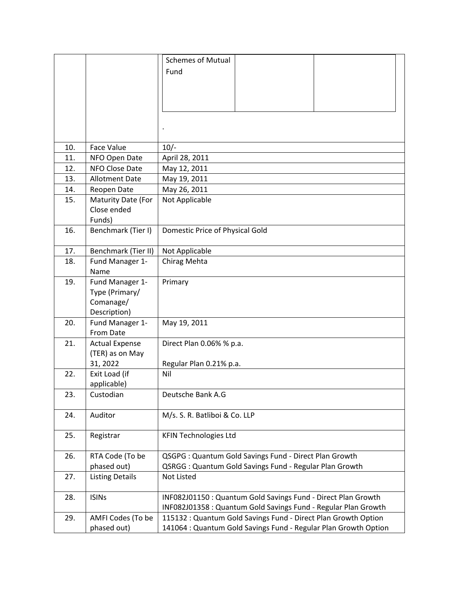|     |                        | <b>Schemes of Mutual</b>                                        |  |
|-----|------------------------|-----------------------------------------------------------------|--|
|     |                        |                                                                 |  |
|     |                        | Fund                                                            |  |
|     |                        |                                                                 |  |
|     |                        |                                                                 |  |
|     |                        |                                                                 |  |
|     |                        |                                                                 |  |
|     |                        |                                                                 |  |
|     |                        |                                                                 |  |
| 10. | <b>Face Value</b>      | $10/-$                                                          |  |
| 11. | NFO Open Date          | April 28, 2011                                                  |  |
| 12. | NFO Close Date         | May 12, 2011                                                    |  |
| 13. | <b>Allotment Date</b>  | May 19, 2011                                                    |  |
| 14. | Reopen Date            | May 26, 2011                                                    |  |
| 15. | Maturity Date (For     | Not Applicable                                                  |  |
|     | Close ended            |                                                                 |  |
|     | Funds)                 |                                                                 |  |
| 16. | Benchmark (Tier I)     | Domestic Price of Physical Gold                                 |  |
|     |                        |                                                                 |  |
| 17. | Benchmark (Tier II)    | Not Applicable                                                  |  |
| 18. | Fund Manager 1-        | Chirag Mehta                                                    |  |
|     | Name                   |                                                                 |  |
| 19. | Fund Manager 1-        | Primary                                                         |  |
|     | Type (Primary/         |                                                                 |  |
|     | Comanage/              |                                                                 |  |
|     | Description)           |                                                                 |  |
| 20. | Fund Manager 1-        | May 19, 2011                                                    |  |
|     | From Date              |                                                                 |  |
| 21. | <b>Actual Expense</b>  | Direct Plan 0.06% % p.a.                                        |  |
|     | (TER) as on May        |                                                                 |  |
|     | 31, 2022               | Regular Plan 0.21% p.a.                                         |  |
| 22. | Exit Load (if          | Nil                                                             |  |
|     | applicable)            |                                                                 |  |
| 23. | Custodian              | Deutsche Bank A.G                                               |  |
|     |                        |                                                                 |  |
| 24. | Auditor                | M/s. S. R. Batliboi & Co. LLP                                   |  |
|     |                        |                                                                 |  |
| 25. | Registrar              | <b>KFIN Technologies Ltd</b>                                    |  |
|     |                        |                                                                 |  |
| 26. | RTA Code (To be        | QSGPG: Quantum Gold Savings Fund - Direct Plan Growth           |  |
|     | phased out)            | QSRGG: Quantum Gold Savings Fund - Regular Plan Growth          |  |
| 27. | <b>Listing Details</b> | <b>Not Listed</b>                                               |  |
|     |                        |                                                                 |  |
| 28. | <b>ISINs</b>           | INF082J01150 : Quantum Gold Savings Fund - Direct Plan Growth   |  |
|     |                        | INF082J01358 : Quantum Gold Savings Fund - Regular Plan Growth  |  |
| 29. | AMFI Codes (To be      | 115132 : Quantum Gold Savings Fund - Direct Plan Growth Option  |  |
|     | phased out)            | 141064 : Quantum Gold Savings Fund - Regular Plan Growth Option |  |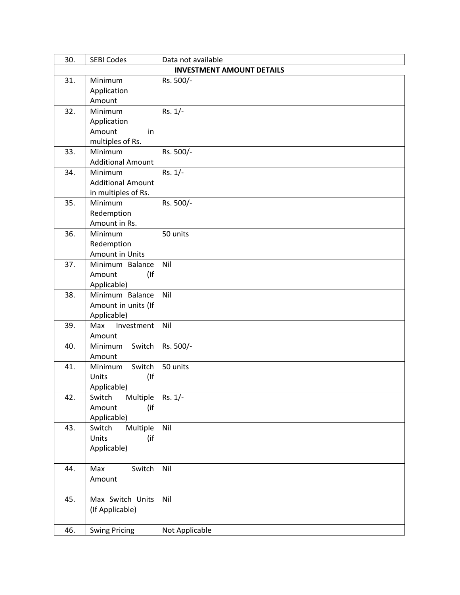| 30.                              | <b>SEBI Codes</b>           | Data not available |  |  |
|----------------------------------|-----------------------------|--------------------|--|--|
| <b>INVESTMENT AMOUNT DETAILS</b> |                             |                    |  |  |
| 31.                              | Minimum                     | Rs. 500/-          |  |  |
|                                  | Application                 |                    |  |  |
|                                  | Amount                      |                    |  |  |
| 32.                              | Minimum                     | $Rs. 1/-$          |  |  |
|                                  | Application                 |                    |  |  |
|                                  | Amount<br>in                |                    |  |  |
|                                  | multiples of Rs.            |                    |  |  |
| 33.                              | Minimum                     | Rs. 500/-          |  |  |
|                                  | <b>Additional Amount</b>    |                    |  |  |
| 34.                              | Minimum                     | $Rs. 1/-$          |  |  |
|                                  | <b>Additional Amount</b>    |                    |  |  |
|                                  | in multiples of Rs.         |                    |  |  |
| 35.                              | Minimum                     | Rs. 500/-          |  |  |
|                                  | Redemption<br>Amount in Rs. |                    |  |  |
| 36.                              | Minimum                     | 50 units           |  |  |
|                                  | Redemption                  |                    |  |  |
|                                  | <b>Amount in Units</b>      |                    |  |  |
| 37.                              | Minimum Balance             | Nil                |  |  |
|                                  | (<br>Amount                 |                    |  |  |
|                                  | Applicable)                 |                    |  |  |
| 38.                              | Minimum Balance             | Nil                |  |  |
|                                  | Amount in units (If         |                    |  |  |
|                                  | Applicable)                 |                    |  |  |
| 39.                              | Max<br>Investment           | Nil                |  |  |
|                                  | Amount                      |                    |  |  |
| 40.                              | Switch<br>Minimum           | Rs. 500/-          |  |  |
|                                  | Amount                      |                    |  |  |
| 41.                              | Minimum<br>Switch           | 50 units           |  |  |
|                                  | (<br>Units                  |                    |  |  |
|                                  | Applicable)                 |                    |  |  |
| 42.                              | Multiple<br>Switch          | $Rs. 1/-$          |  |  |
|                                  | (if<br>Amount               |                    |  |  |
|                                  | Applicable)                 |                    |  |  |
| 43.                              | Multiple<br>Switch          | Nil                |  |  |
|                                  | Units<br>(if                |                    |  |  |
|                                  | Applicable)                 |                    |  |  |
| 44.                              | Switch<br>Max               | Nil                |  |  |
|                                  | Amount                      |                    |  |  |
|                                  |                             |                    |  |  |
| 45.                              | Max Switch Units            | Nil                |  |  |
|                                  | (If Applicable)             |                    |  |  |
|                                  |                             |                    |  |  |
| 46.                              | <b>Swing Pricing</b>        | Not Applicable     |  |  |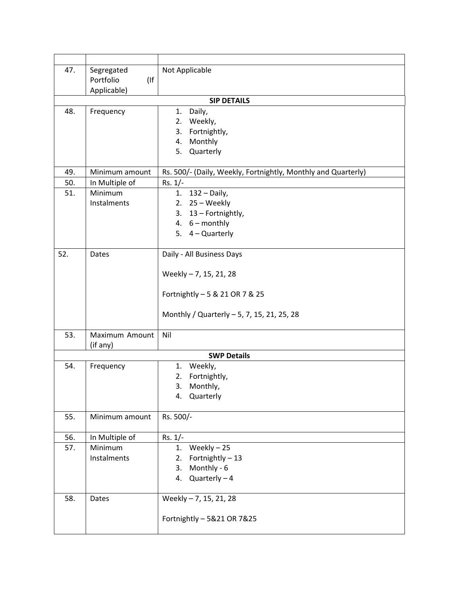| 47. | Segregated                 | Not Applicable                                                |
|-----|----------------------------|---------------------------------------------------------------|
|     | $($ If<br>Portfolio        |                                                               |
|     | Applicable)                |                                                               |
|     |                            | <b>SIP DETAILS</b>                                            |
| 48. | Frequency                  | Daily,<br>1.                                                  |
|     |                            | 2. Weekly,                                                    |
|     |                            | 3.<br>Fortnightly,                                            |
|     |                            | 4. Monthly                                                    |
|     |                            | 5. Quarterly                                                  |
| 49. | Minimum amount             | Rs. 500/- (Daily, Weekly, Fortnightly, Monthly and Quarterly) |
| 50. | In Multiple of             | $Rs. 1/-$                                                     |
| 51. | Minimum                    | 1. 132 - Daily,                                               |
|     | Instalments                | 2. $25 - \text{Weekly}$                                       |
|     |                            | 3. 13 - Fortnightly,                                          |
|     |                            | 4. $6 - monthly$                                              |
|     |                            | 5. $4 -$ Quarterly                                            |
| 52. | Dates                      | Daily - All Business Days                                     |
|     |                            |                                                               |
|     |                            | Weekly - 7, 15, 21, 28                                        |
|     |                            |                                                               |
|     |                            | Fortnightly - 5 & 21 OR 7 & 25                                |
|     |                            | Monthly / Quarterly - 5, 7, 15, 21, 25, 28                    |
| 53. | Maximum Amount<br>(if any) | Nil                                                           |
|     |                            | <b>SWP Details</b>                                            |
| 54. | Frequency                  | 1. Weekly,                                                    |
|     |                            | Fortnightly,<br>2.                                            |
|     |                            | 3.<br>Monthly,                                                |
|     |                            | Quarterly<br>4.                                               |
| 55. | Minimum amount             | Rs. 500/-                                                     |
| 56. |                            |                                                               |
| 57. | In Multiple of<br>Minimum  | $Rs. 1/-$<br>Weekly $-25$<br>1.                               |
|     | Instalments                | Fortnightly - 13<br>2.                                        |
|     |                            | 3.<br>Monthly - 6                                             |
|     |                            | $Quarterly - 4$<br>4.                                         |
|     |                            |                                                               |
| 58. | Dates                      | Weekly - 7, 15, 21, 28                                        |
|     |                            |                                                               |
|     |                            | Fortnightly - 5&21 OR 7&25                                    |